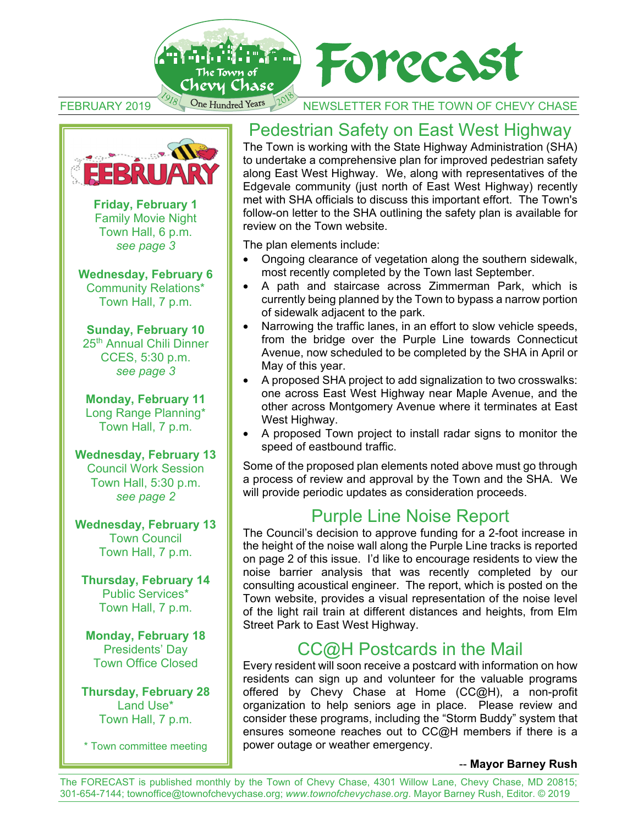

FEBRUARY 2019 One Hundred Years 10<sup>05</sup> NEWSLETTER FOR THE TOWN OF CHEVY CHASE



**Friday, February 1**  Family Movie Night Town Hall, 6 p.m. *see page 3* 

**Wednesday, February 6**  Community Relations\* Town Hall, 7 p.m.

**Sunday, February 10**  25th Annual Chili Dinner CCES, 5:30 p.m. *see page 3* 

**Monday, February 11**  Long Range Planning\* Town Hall, 7 p.m.

**Wednesday, February 13** Council Work Session Town Hall, 5:30 p.m. *see page 2* 

**Wednesday, February 13** Town Council Town Hall, 7 p.m.

**Thursday, February 14** Public Services\* Town Hall, 7 p.m.

**Monday, February 18** Presidents' Day Town Office Closed

**Thursday, February 28**  Land Use\* Town Hall, 7 p.m.

\* Town committee meeting

## Pedestrian Safety on East West Highway

The Town is working with the State Highway Administration (SHA) to undertake a comprehensive plan for improved pedestrian safety along East West Highway. We, along with representatives of the Edgevale community (just north of East West Highway) recently met with SHA officials to discuss this important effort. The Town's follow-on letter to the SHA outlining the safety plan is available for review on the Town website.

The plan elements include:

- Ongoing clearance of vegetation along the southern sidewalk, most recently completed by the Town last September.
- A path and staircase across Zimmerman Park, which is currently being planned by the Town to bypass a narrow portion of sidewalk adjacent to the park.
- Narrowing the traffic lanes, in an effort to slow vehicle speeds, from the bridge over the Purple Line towards Connecticut Avenue, now scheduled to be completed by the SHA in April or May of this year.
- A proposed SHA project to add signalization to two crosswalks: one across East West Highway near Maple Avenue, and the other across Montgomery Avenue where it terminates at East West Highway.
- A proposed Town project to install radar signs to monitor the speed of eastbound traffic.

Some of the proposed plan elements noted above must go through a process of review and approval by the Town and the SHA. We will provide periodic updates as consideration proceeds.

## Purple Line Noise Report

The Council's decision to approve funding for a 2-foot increase in the height of the noise wall along the Purple Line tracks is reported on page 2 of this issue. I'd like to encourage residents to view the noise barrier analysis that was recently completed by our consulting acoustical engineer. The report, which is posted on the Town website, provides a visual representation of the noise level of the light rail train at different distances and heights, from Elm Street Park to East West Highway.

## CC@H Postcards in the Mail

Every resident will soon receive a postcard with information on how residents can sign up and volunteer for the valuable programs offered by Chevy Chase at Home (CC@H), a non-profit organization to help seniors age in place. Please review and consider these programs, including the "Storm Buddy" system that ensures someone reaches out to CC@H members if there is a power outage or weather emergency.

#### -- **Mayor Barney Rush**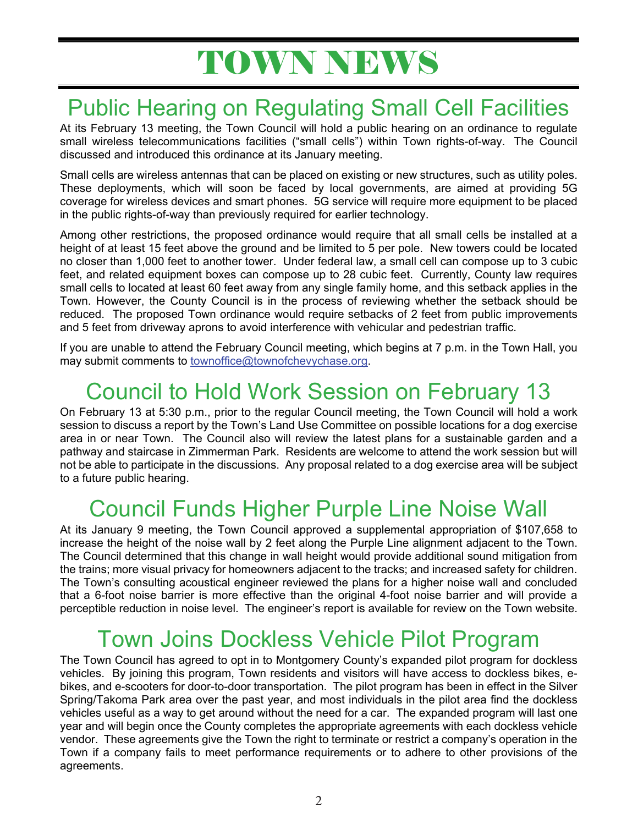# TOWN NEWS

# Public Hearing on Regulating Small Cell Facilities

At its February 13 meeting, the Town Council will hold a public hearing on an ordinance to regulate small wireless telecommunications facilities ("small cells") within Town rights-of-way. The Council discussed and introduced this ordinance at its January meeting.

Small cells are wireless antennas that can be placed on existing or new structures, such as utility poles. These deployments, which will soon be faced by local governments, are aimed at providing 5G coverage for wireless devices and smart phones. 5G service will require more equipment to be placed in the public rights-of-way than previously required for earlier technology.

Among other restrictions, the proposed ordinance would require that all small cells be installed at a height of at least 15 feet above the ground and be limited to 5 per pole. New towers could be located no closer than 1,000 feet to another tower. Under federal law, a small cell can compose up to 3 cubic feet, and related equipment boxes can compose up to 28 cubic feet. Currently, County law requires small cells to located at least 60 feet away from any single family home, and this setback applies in the Town. However, the County Council is in the process of reviewing whether the setback should be reduced. The proposed Town ordinance would require setbacks of 2 feet from public improvements and 5 feet from driveway aprons to avoid interference with vehicular and pedestrian traffic.

If you are unable to attend the February Council meeting, which begins at 7 p.m. in the Town Hall, you may submit comments to townoffice@townofchevychase.org.

# Council to Hold Work Session on February 13

On February 13 at 5:30 p.m., prior to the regular Council meeting, the Town Council will hold a work session to discuss a report by the Town's Land Use Committee on possible locations for a dog exercise area in or near Town. The Council also will review the latest plans for a sustainable garden and a pathway and staircase in Zimmerman Park. Residents are welcome to attend the work session but will not be able to participate in the discussions. Any proposal related to a dog exercise area will be subject to a future public hearing.

# Council Funds Higher Purple Line Noise Wall

At its January 9 meeting, the Town Council approved a supplemental appropriation of \$107,658 to increase the height of the noise wall by 2 feet along the Purple Line alignment adjacent to the Town. The Council determined that this change in wall height would provide additional sound mitigation from the trains; more visual privacy for homeowners adjacent to the tracks; and increased safety for children. The Town's consulting acoustical engineer reviewed the plans for a higher noise wall and concluded that a 6-foot noise barrier is more effective than the original 4-foot noise barrier and will provide a perceptible reduction in noise level. The engineer's report is available for review on the Town website.

# Town Joins Dockless Vehicle Pilot Program

The Town Council has agreed to opt in to Montgomery County's expanded pilot program for dockless vehicles. By joining this program, Town residents and visitors will have access to dockless bikes, ebikes, and e-scooters for door-to-door transportation. The pilot program has been in effect in the Silver Spring/Takoma Park area over the past year, and most individuals in the pilot area find the dockless vehicles useful as a way to get around without the need for a car. The expanded program will last one year and will begin once the County completes the appropriate agreements with each dockless vehicle vendor. These agreements give the Town the right to terminate or restrict a company's operation in the Town if a company fails to meet performance requirements or to adhere to other provisions of the agreements.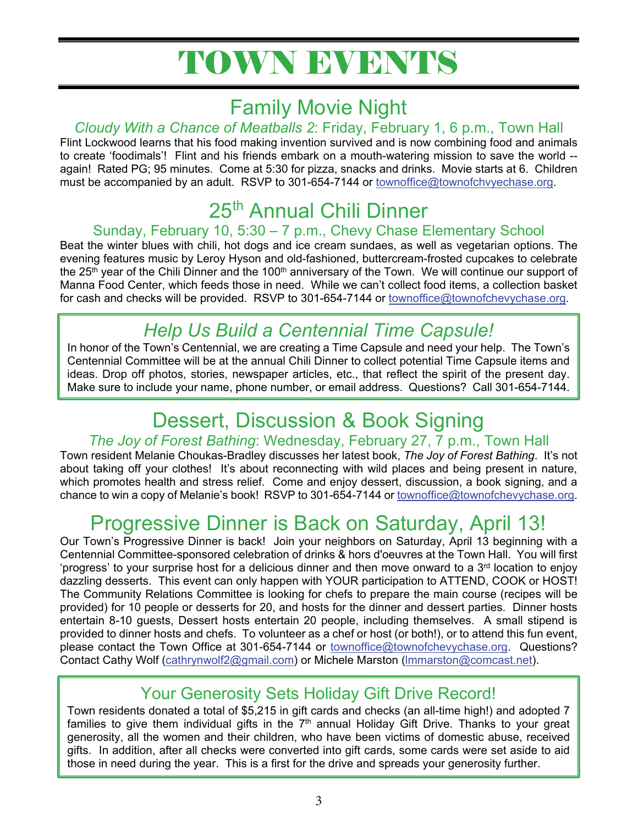# TOWN EVENTS

## Family Movie Night

### *Cloudy With a Chance of Meatballs 2*: Friday, February 1, 6 p.m., Town Hall

Flint Lockwood learns that his food making invention survived and is now combining food and animals to create 'foodimals'! Flint and his friends embark on a mouth-watering mission to save the world - again! Rated PG; 95 minutes. Come at 5:30 for pizza, snacks and drinks. Movie starts at 6. Children must be accompanied by an adult. RSVP to 301-654-7144 or townoffice@townofchvyechase.org.

## 25th Annual Chili Dinner

### Sunday, February 10, 5:30 – 7 p.m., Chevy Chase Elementary School

Beat the winter blues with chili, hot dogs and ice cream sundaes, as well as vegetarian options. The evening features music by Leroy Hyson and old-fashioned, buttercream-frosted cupcakes to celebrate the 25<sup>th</sup> year of the Chili Dinner and the 100<sup>th</sup> anniversary of the Town. We will continue our support of Manna Food Center, which feeds those in need. While we can't collect food items, a collection basket for cash and checks will be provided. RSVP to 301-654-7144 or townoffice@townofchevychase.org.

## *Help Us Build a Centennial Time Capsule!*

In honor of the Town's Centennial, we are creating a Time Capsule and need your help. The Town's Centennial Committee will be at the annual Chili Dinner to collect potential Time Capsule items and ideas. Drop off photos, stories, newspaper articles, etc., that reflect the spirit of the present day. Make sure to include your name, phone number, or email address. Questions? Call 301-654-7144.

## Dessert, Discussion & Book Signing

### *The Joy of Forest Bathing*: Wednesday, February 27, 7 p.m., Town Hall

Town resident Melanie Choukas-Bradley discusses her latest book, *The Joy of Forest Bathing*. It's not about taking off your clothes! It's about reconnecting with wild places and being present in nature, which promotes health and stress relief. Come and enjoy dessert, discussion, a book signing, and a chance to win a copy of Melanie's book! RSVP to 301-654-7144 or townoffice@townofchevychase.org.

# Progressive Dinner is Back on Saturday, April 13!

Our Town's Progressive Dinner is back! Join your neighbors on Saturday, April 13 beginning with a Centennial Committee-sponsored celebration of drinks & hors d'oeuvres at the Town Hall. You will first 'progress' to your surprise host for a delicious dinner and then move onward to a 3<sup>rd</sup> location to enjoy dazzling desserts. This event can only happen with YOUR participation to ATTEND, COOK or HOST! The Community Relations Committee is looking for chefs to prepare the main course (recipes will be provided) for 10 people or desserts for 20, and hosts for the dinner and dessert parties. Dinner hosts entertain 8-10 guests, Dessert hosts entertain 20 people, including themselves. A small stipend is provided to dinner hosts and chefs. To volunteer as a chef or host (or both!), or to attend this fun event, please contact the Town Office at 301-654-7144 or townoffice@townofchevychase.org. Questions? Contact Cathy Wolf (cathrynwolf2@gmail.com) or Michele Marston (lmmarston@comcast.net).

## Your Generosity Sets Holiday Gift Drive Record!

Town residents donated a total of \$5,215 in gift cards and checks (an all-time high!) and adopted 7 families to give them individual gifts in the  $7<sup>th</sup>$  annual Holiday Gift Drive. Thanks to your great generosity, all the women and their children, who have been victims of domestic abuse, received gifts. In addition, after all checks were converted into gift cards, some cards were set aside to aid those in need during the year. This is a first for the drive and spreads your generosity further.